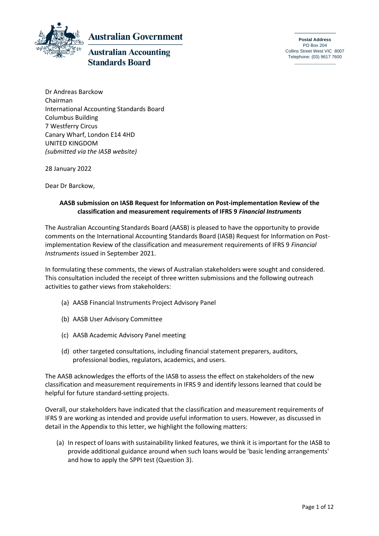

**Australian Government** 

# **Australian Accounting Standards Board**

**Postal Address** PO Box 204 Collins Street West VIC 8007 Telephone: (03) 9617 7600

Dr Andreas Barckow Chairman International Accounting Standards Board Columbus Building 7 Westferry Circus Canary Wharf, London E14 4HD UNITED KINGDOM *(submitted via the IASB website)*

28 January 2022

Dear Dr Barckow,

## **AASB submission on IASB Request for Information on Post-implementation Review of the classification and measurement requirements of IFRS 9** *Financial Instruments*

The Australian Accounting Standards Board (AASB) is pleased to have the opportunity to provide comments on the International Accounting Standards Board (IASB) Request for Information on Postimplementation Review of the classification and measurement requirements of IFRS 9 *Financial Instruments* issued in September 2021.

In formulating these comments, the views of Australian stakeholders were sought and considered. This consultation included the receipt of three written submissions and the following outreach activities to gather views from stakeholders:

- (a) AASB Financial Instruments Project Advisory Panel
- (b) AASB User Advisory Committee
- (c) AASB Academic Advisory Panel meeting
- (d) other targeted consultations, including financial statement preparers, auditors, professional bodies, regulators, academics, and users.

The AASB acknowledges the efforts of the IASB to assess the effect on stakeholders of the new classification and measurement requirements in IFRS 9 and identify lessons learned that could be helpful for future standard-setting projects.

Overall, our stakeholders have indicated that the classification and measurement requirements of IFRS 9 are working as intended and provide useful information to users. However, as discussed in detail in the Appendix to this letter, we highlight the following matters:

(a) In respect of loans with sustainability linked features, we think it is important for the IASB to provide additional guidance around when such loans would be 'basic lending arrangements' and how to apply the SPPI test (Question 3).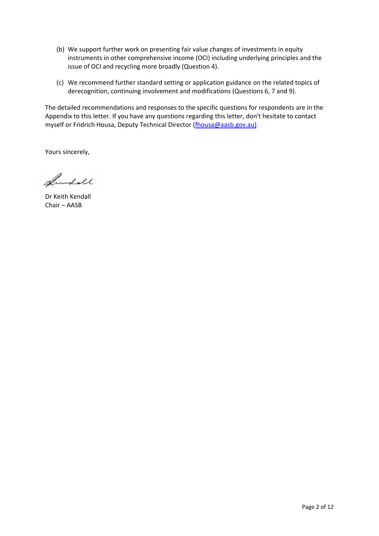- (b) We support further work on presenting fair value changes of investments in equity instruments in other comprehensive income (OCI) including underlying principles and the issue of OCI and recycling more broadly (Question 4).
- (c) We recommend further standard setting or application guidance on the related topics of derecognition, continuing involvement and modifications (Questions 6, 7 and 9).

The detailed recommendations and responses to the specific questions for respondents are in the Appendix to this letter. If you have any questions regarding this letter, don't hesitate to contact myself or Fridrich Housa, Deputy Technical Director [\(fhousa@aasb.gov.au\)](mailto:fhousa@aasb.gov.au).

Yours sincerely,

Andoll

Dr Keith Kendall Chair – AASB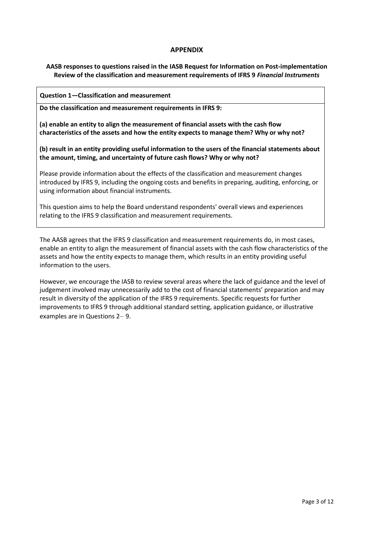#### **APPENDIX**

**AASB responses to questions raised in the IASB Request for Information on Post-implementation Review of the classification and measurement requirements of IFRS 9** *Financial Instruments*

#### **Question 1—Classification and measurement**

**Do the classification and measurement requirements in IFRS 9:**

**(a) enable an entity to align the measurement of financial assets with the cash flow characteristics of the assets and how the entity expects to manage them? Why or why not?**

**(b) result in an entity providing useful information to the users of the financial statements about the amount, timing, and uncertainty of future cash flows? Why or why not?**

Please provide information about the effects of the classification and measurement changes introduced by IFRS 9, including the ongoing costs and benefits in preparing, auditing, enforcing, or using information about financial instruments.

This question aims to help the Board understand respondents' overall views and experiences relating to the IFRS 9 classification and measurement requirements.

The AASB agrees that the IFRS 9 classification and measurement requirements do, in most cases, enable an entity to align the measurement of financial assets with the cash flow characteristics of the assets and how the entity expects to manage them, which results in an entity providing useful information to the users.

However, we encourage the IASB to review several areas where the lack of guidance and the level of judgement involved may unnecessarily add to the cost of financial statements' preparation and may result in diversity of the application of the IFRS 9 requirements. Specific requests for further improvements to IFRS 9 through additional standard setting, application guidance, or illustrative examples are in Questions 2– 9.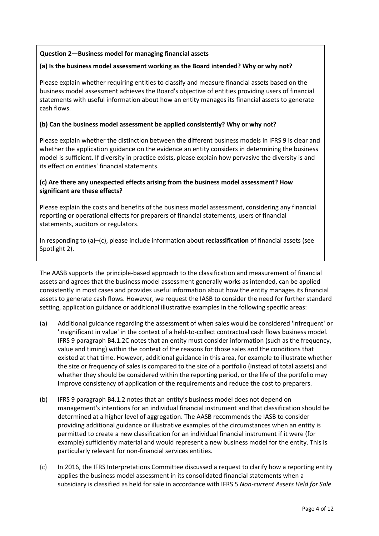## **Question 2—Business model for managing financial assets**

#### **(a) Is the business model assessment working as the Board intended? Why or why not?**

Please explain whether requiring entities to classify and measure financial assets based on the business model assessment achieves the Board's objective of entities providing users of financial statements with useful information about how an entity manages its financial assets to generate cash flows.

#### **(b) Can the business model assessment be applied consistently? Why or why not?**

Please explain whether the distinction between the different business models in IFRS 9 is clear and whether the application guidance on the evidence an entity considers in determining the business model is sufficient. If diversity in practice exists, please explain how pervasive the diversity is and its effect on entities' financial statements.

## **(c) Are there any unexpected effects arising from the business model assessment? How significant are these effects?**

Please explain the costs and benefits of the business model assessment, considering any financial reporting or operational effects for preparers of financial statements, users of financial statements, auditors or regulators.

In responding to (a)–(c), please include information about **reclassification** of financial assets (see Spotlight 2).

The AASB supports the principle-based approach to the classification and measurement of financial assets and agrees that the business model assessment generally works as intended, can be applied consistently in most cases and provides useful information about how the entity manages its financial assets to generate cash flows. However, we request the IASB to consider the need for further standard setting, application guidance or additional illustrative examples in the following specific areas:

- (a) Additional guidance regarding the assessment of when sales would be considered 'infrequent' or 'insignificant in value' in the context of a held-to-collect contractual cash flows business model. IFRS 9 paragraph B4.1.2C notes that an entity must consider information (such as the frequency, value and timing) within the context of the reasons for those sales and the conditions that existed at that time. However, additional guidance in this area, for example to illustrate whether the size or frequency of sales is compared to the size of a portfolio (instead of total assets) and whether they should be considered within the reporting period, or the life of the portfolio may improve consistency of application of the requirements and reduce the cost to preparers.
- (b) IFRS 9 paragraph B4.1.2 notes that an entity's business model does not depend on management's intentions for an individual financial instrument and that classification should be determined at a higher level of aggregation. The AASB recommends the IASB to consider providing additional guidance or illustrative examples of the circumstances when an entity is permitted to create a new classification for an individual financial instrument if it were (for example) sufficiently material and would represent a new business model for the entity. This is particularly relevant for non-financial services entities.
- (c) In 2016, the IFRS Interpretations Committee discussed a request to clarify how a reporting entity applies the business model assessment in its consolidated financial statements when a subsidiary is classified as held for sale in accordance with IFRS 5 *Non-current Assets Held for Sale*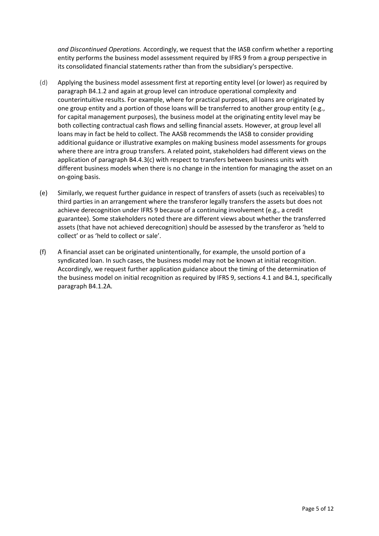*and Discontinued Operations.* Accordingly, we request that the IASB confirm whether a reporting entity performs the business model assessment required by IFRS 9 from a group perspective in its consolidated financial statements rather than from the subsidiary's perspective.

- (d) Applying the business model assessment first at reporting entity level (or lower) as required by paragraph B4.1.2 and again at group level can introduce operational complexity and counterintuitive results. For example, where for practical purposes, all loans are originated by one group entity and a portion of those loans will be transferred to another group entity (e.g., for capital management purposes), the business model at the originating entity level may be both collecting contractual cash flows and selling financial assets. However, at group level all loans may in fact be held to collect. The AASB recommends the IASB to consider providing additional guidance or illustrative examples on making business model assessments for groups where there are intra group transfers. A related point, stakeholders had different views on the application of paragraph B4.4.3(c) with respect to transfers between business units with different business models when there is no change in the intention for managing the asset on an on-going basis.
- (e) Similarly, we request further guidance in respect of transfers of assets (such as receivables) to third parties in an arrangement where the transferor legally transfers the assets but does not achieve derecognition under IFRS 9 because of a continuing involvement (e.g., a credit guarantee). Some stakeholders noted there are different views about whether the transferred assets (that have not achieved derecognition) should be assessed by the transferor as 'held to collect' or as 'held to collect or sale'.
- (f) A financial asset can be originated unintentionally, for example, the unsold portion of a syndicated loan. In such cases, the business model may not be known at initial recognition. Accordingly, we request further application guidance about the timing of the determination of the business model on initial recognition as required by IFRS 9, sections 4.1 and B4.1, specifically paragraph B4.1.2A.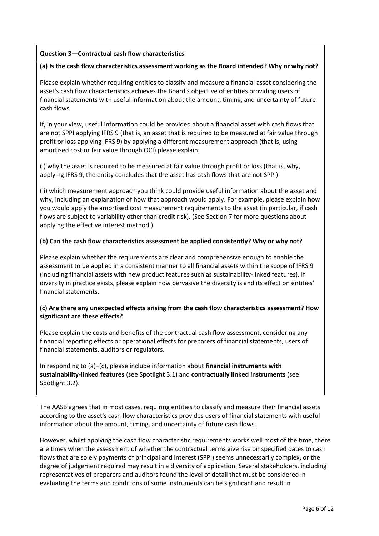## **Question 3—Contractual cash flow characteristics**

### **(a) Is the cash flow characteristics assessment working as the Board intended? Why or why not?**

Please explain whether requiring entities to classify and measure a financial asset considering the asset's cash flow characteristics achieves the Board's objective of entities providing users of financial statements with useful information about the amount, timing, and uncertainty of future cash flows.

If, in your view, useful information could be provided about a financial asset with cash flows that are not SPPI applying IFRS 9 (that is, an asset that is required to be measured at fair value through profit or loss applying IFRS 9) by applying a different measurement approach (that is, using amortised cost or fair value through OCI) please explain:

(i) why the asset is required to be measured at fair value through profit or loss (that is, why, applying IFRS 9, the entity concludes that the asset has cash flows that are not SPPI).

(ii) which measurement approach you think could provide useful information about the asset and why, including an explanation of how that approach would apply. For example, please explain how you would apply the amortised cost measurement requirements to the asset (in particular, if cash flows are subject to variability other than credit risk). (See Section 7 for more questions about applying the effective interest method.)

## **(b) Can the cash flow characteristics assessment be applied consistently? Why or why not?**

Please explain whether the requirements are clear and comprehensive enough to enable the assessment to be applied in a consistent manner to all financial assets within the scope of IFRS 9 (including financial assets with new product features such as sustainability-linked features). If diversity in practice exists, please explain how pervasive the diversity is and its effect on entities' financial statements.

## **(c) Are there any unexpected effects arising from the cash flow characteristics assessment? How significant are these effects?**

Please explain the costs and benefits of the contractual cash flow assessment, considering any financial reporting effects or operational effects for preparers of financial statements, users of financial statements, auditors or regulators.

In responding to (a)–(c), please include information about **financial instruments with sustainability-linked features** (see Spotlight 3.1) and **contractually linked instruments** (see Spotlight 3.2).

The AASB agrees that in most cases, requiring entities to classify and measure their financial assets according to the asset's cash flow characteristics provides users of financial statements with useful information about the amount, timing, and uncertainty of future cash flows.

However, whilst applying the cash flow characteristic requirements works well most of the time, there are times when the assessment of whether the contractual terms give rise on specified dates to cash flows that are solely payments of principal and interest (SPPI) seems unnecessarily complex, or the degree of judgement required may result in a diversity of application. Several stakeholders, including representatives of preparers and auditors found the level of detail that must be considered in evaluating the terms and conditions of some instruments can be significant and result in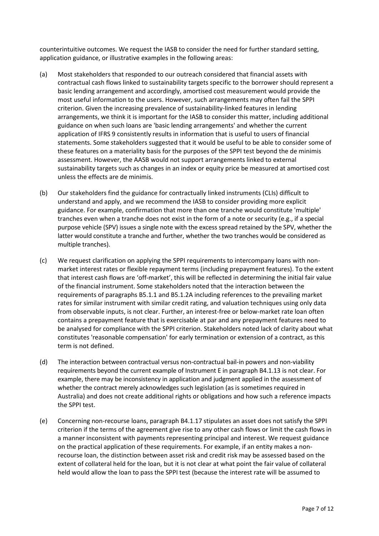counterintuitive outcomes. We request the IASB to consider the need for further standard setting, application guidance, or illustrative examples in the following areas:

- (a) Most stakeholders that responded to our outreach considered that financial assets with contractual cash flows linked to sustainability targets specific to the borrower should represent a basic lending arrangement and accordingly, amortised cost measurement would provide the most useful information to the users. However, such arrangements may often fail the SPPI criterion. Given the increasing prevalence of sustainability-linked features in lending arrangements, we think it is important for the IASB to consider this matter, including additional guidance on when such loans are 'basic lending arrangements' and whether the current application of IFRS 9 consistently results in information that is useful to users of financial statements. Some stakeholders suggested that it would be useful to be able to consider some of these features on a materiality basis for the purposes of the SPPI test beyond the de minimis assessment. However, the AASB would not support arrangements linked to external sustainability targets such as changes in an index or equity price be measured at amortised cost unless the effects are de minimis.
- (b) Our stakeholders find the guidance for contractually linked instruments (CLIs) difficult to understand and apply, and we recommend the IASB to consider providing more explicit guidance. For example, confirmation that more than one tranche would constitute 'multiple' tranches even when a tranche does not exist in the form of a note or security (e.g., if a special purpose vehicle (SPV) issues a single note with the excess spread retained by the SPV, whether the latter would constitute a tranche and further, whether the two tranches would be considered as multiple tranches).
- (c) We request clarification on applying the SPPI requirements to intercompany loans with nonmarket interest rates or flexible repayment terms (including prepayment features). To the extent that interest cash flows are 'off-market', this will be reflected in determining the initial fair value of the financial instrument. Some stakeholders noted that the interaction between the requirements of paragraphs B5.1.1 and B5.1.2A including references to the prevailing market rates for similar instrument with similar credit rating, and valuation techniques using only data from observable inputs, is not clear. Further, an interest-free or below-market rate loan often contains a prepayment feature that is exercisable at par and any prepayment features need to be analysed for compliance with the SPPI criterion. Stakeholders noted lack of clarity about what constitutes 'reasonable compensation' for early termination or extension of a contract, as this term is not defined.
- (d) The interaction between contractual versus non-contractual bail-in powers and non-viability requirements beyond the current example of Instrument E in paragraph B4.1.13 is not clear. For example, there may be inconsistency in application and judgment applied in the assessment of whether the contract merely acknowledges such legislation (as is sometimes required in Australia) and does not create additional rights or obligations and how such a reference impacts the SPPI test.
- (e) Concerning non-recourse loans, paragraph B4.1.17 stipulates an asset does not satisfy the SPPI criterion if the terms of the agreement give rise to any other cash flows or limit the cash flows in a manner inconsistent with payments representing principal and interest. We request guidance on the practical application of these requirements. For example, if an entity makes a nonrecourse loan, the distinction between asset risk and credit risk may be assessed based on the extent of collateral held for the loan, but it is not clear at what point the fair value of collateral held would allow the loan to pass the SPPI test (because the interest rate will be assumed to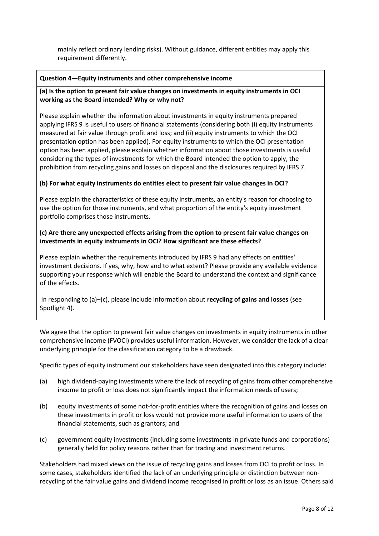mainly reflect ordinary lending risks). Without guidance, different entities may apply this requirement differently.

#### **Question 4—Equity instruments and other comprehensive income**

## **(a) Is the option to present fair value changes on investments in equity instruments in OCI working as the Board intended? Why or why not?**

Please explain whether the information about investments in equity instruments prepared applying IFRS 9 is useful to users of financial statements (considering both (i) equity instruments measured at fair value through profit and loss; and (ii) equity instruments to which the OCI presentation option has been applied). For equity instruments to which the OCI presentation option has been applied, please explain whether information about those investments is useful considering the types of investments for which the Board intended the option to apply, the prohibition from recycling gains and losses on disposal and the disclosures required by IFRS 7.

#### **(b) For what equity instruments do entities elect to present fair value changes in OCI?**

Please explain the characteristics of these equity instruments, an entity's reason for choosing to use the option for those instruments, and what proportion of the entity's equity investment portfolio comprises those instruments.

## **(c) Are there any unexpected effects arising from the option to present fair value changes on investments in equity instruments in OCI? How significant are these effects?**

Please explain whether the requirements introduced by IFRS 9 had any effects on entities' investment decisions. If yes, why, how and to what extent? Please provide any available evidence supporting your response which will enable the Board to understand the context and significance of the effects.

In responding to (a)–(c), please include information about **recycling of gains and losses** (see Spotlight 4).

We agree that the option to present fair value changes on investments in equity instruments in other comprehensive income (FVOCI) provides useful information. However, we consider the lack of a clear underlying principle for the classification category to be a drawback.

Specific types of equity instrument our stakeholders have seen designated into this category include:

- (a) high dividend-paying investments where the lack of recycling of gains from other comprehensive income to profit or loss does not significantly impact the information needs of users;
- (b) equity investments of some not-for-profit entities where the recognition of gains and losses on these investments in profit or loss would not provide more useful information to users of the financial statements, such as grantors; and
- (c) government equity investments (including some investments in private funds and corporations) generally held for policy reasons rather than for trading and investment returns.

Stakeholders had mixed views on the issue of recycling gains and losses from OCI to profit or loss. In some cases, stakeholders identified the lack of an underlying principle or distinction between nonrecycling of the fair value gains and dividend income recognised in profit or loss as an issue. Others said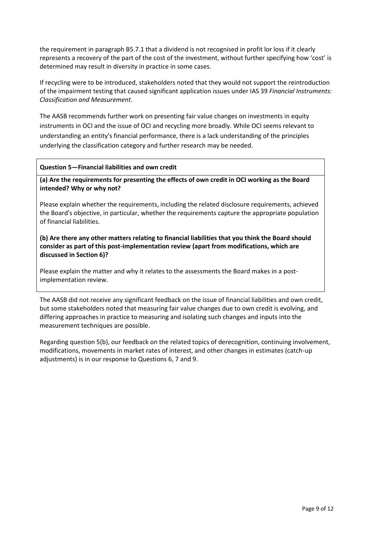the requirement in paragraph B5.7.1 that a dividend is not recognised in profit lor loss if it clearly represents a recovery of the part of the cost of the investment, without further specifying how 'cost' is determined may result in diversity in practice in some cases.

If recycling were to be introduced, stakeholders noted that they would not support the reintroduction of the impairment testing that caused significant application issues under IAS 39 *Financial Instruments: Classification and Measurement*.

The AASB recommends further work on presenting fair value changes on investments in equity instruments in OCI and the issue of OCI and recycling more broadly. While OCI seems relevant to understanding an entity's financial performance, there is a lack understanding of the principles underlying the classification category and further research may be needed.

#### **Question 5—Financial liabilities and own credit**

**(a) Are the requirements for presenting the effects of own credit in OCI working as the Board intended? Why or why not?** 

Please explain whether the requirements, including the related disclosure requirements, achieved the Board's objective, in particular, whether the requirements capture the appropriate population of financial liabilities.

**(b) Are there any other matters relating to financial liabilities that you think the Board should consider as part of this post-implementation review (apart from modifications, which are discussed in Section 6)?** 

Please explain the matter and why it relates to the assessments the Board makes in a postimplementation review.

The AASB did not receive any significant feedback on the issue of financial liabilities and own credit, but some stakeholders noted that measuring fair value changes due to own credit is evolving, and differing approaches in practice to measuring and isolating such changes and inputs into the measurement techniques are possible.

Regarding question 5(b), our feedback on the related topics of derecognition, continuing involvement, modifications, movements in market rates of interest, and other changes in estimates (catch-up adjustments) is in our response to Questions 6, 7 and 9.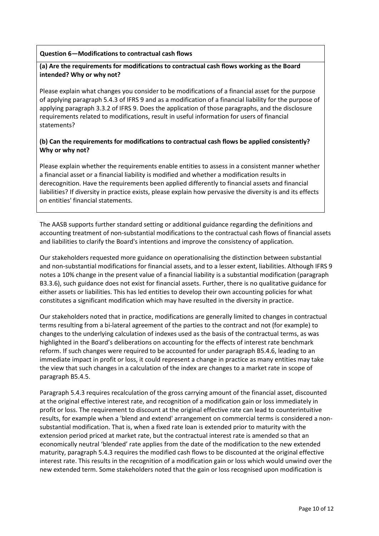#### **Question 6—Modifications to contractual cash flows**

## **(a) Are the requirements for modifications to contractual cash flows working as the Board intended? Why or why not?**

Please explain what changes you consider to be modifications of a financial asset for the purpose of applying paragraph 5.4.3 of IFRS 9 and as a modification of a financial liability for the purpose of applying paragraph 3.3.2 of IFRS 9. Does the application of those paragraphs, and the disclosure requirements related to modifications, result in useful information for users of financial statements?

## **(b) Can the requirements for modifications to contractual cash flows be applied consistently? Why or why not?**

Please explain whether the requirements enable entities to assess in a consistent manner whether a financial asset or a financial liability is modified and whether a modification results in derecognition. Have the requirements been applied differently to financial assets and financial liabilities? If diversity in practice exists, please explain how pervasive the diversity is and its effects on entities' financial statements.

The AASB supports further standard setting or additional guidance regarding the definitions and accounting treatment of non-substantial modifications to the contractual cash flows of financial assets and liabilities to clarify the Board's intentions and improve the consistency of application.

Our stakeholders requested more guidance on operationalising the distinction between substantial and non-substantial modifications for financial assets, and to a lesser extent, liabilities. Although IFRS 9 notes a 10% change in the present value of a financial liability is a substantial modification (paragraph B3.3.6), such guidance does not exist for financial assets. Further, there is no qualitative guidance for either assets or liabilities. This has led entities to develop their own accounting policies for what constitutes a significant modification which may have resulted in the diversity in practice.

Our stakeholders noted that in practice, modifications are generally limited to changes in contractual terms resulting from a bi-lateral agreement of the parties to the contract and not (for example) to changes to the underlying calculation of indexes used as the basis of the contractual terms, as was highlighted in the Board's deliberations on accounting for the effects of interest rate benchmark reform. If such changes were required to be accounted for under paragraph B5.4.6, leading to an immediate impact in profit or loss, it could represent a change in practice as many entities may take the view that such changes in a calculation of the index are changes to a market rate in scope of paragraph B5.4.5.

Paragraph 5.4.3 requires recalculation of the gross carrying amount of the financial asset, discounted at the original effective interest rate, and recognition of a modification gain or loss immediately in profit or loss. The requirement to discount at the original effective rate can lead to counterintuitive results, for example when a 'blend and extend' arrangement on commercial terms is considered a nonsubstantial modification. That is, when a fixed rate loan is extended prior to maturity with the extension period priced at market rate, but the contractual interest rate is amended so that an economically neutral 'blended' rate applies from the date of the modification to the new extended maturity, paragraph 5.4.3 requires the modified cash flows to be discounted at the original effective interest rate. This results in the recognition of a modification gain or loss which would unwind over the new extended term. Some stakeholders noted that the gain or loss recognised upon modification is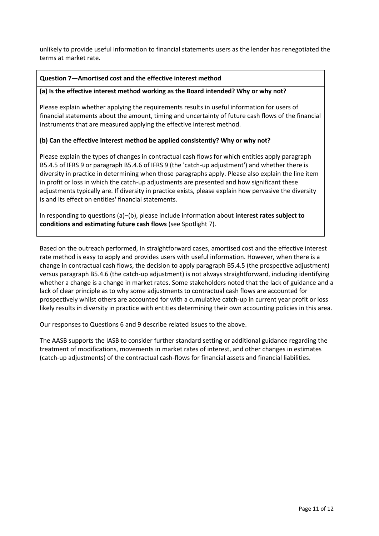unlikely to provide useful information to financial statements users as the lender has renegotiated the terms at market rate.

## **Question 7—Amortised cost and the effective interest method**

#### **(a) Is the effective interest method working as the Board intended? Why or why not?**

Please explain whether applying the requirements results in useful information for users of financial statements about the amount, timing and uncertainty of future cash flows of the financial instruments that are measured applying the effective interest method.

## **(b) Can the effective interest method be applied consistently? Why or why not?**

Please explain the types of changes in contractual cash flows for which entities apply paragraph B5.4.5 of IFRS 9 or paragraph B5.4.6 of IFRS 9 (the 'catch-up adjustment') and whether there is diversity in practice in determining when those paragraphs apply. Please also explain the line item in profit or loss in which the catch-up adjustments are presented and how significant these adjustments typically are. If diversity in practice exists, please explain how pervasive the diversity is and its effect on entities' financial statements.

In responding to questions (a)–(b), please include information about **interest rates subject to conditions and estimating future cash flows** (see Spotlight 7).

Based on the outreach performed, in straightforward cases, amortised cost and the effective interest rate method is easy to apply and provides users with useful information. However, when there is a change in contractual cash flows, the decision to apply paragraph B5.4.5 (the prospective adjustment) versus paragraph B5.4.6 (the catch-up adjustment) is not always straightforward, including identifying whether a change is a change in market rates. Some stakeholders noted that the lack of guidance and a lack of clear principle as to why some adjustments to contractual cash flows are accounted for prospectively whilst others are accounted for with a cumulative catch-up in current year profit or loss likely results in diversity in practice with entities determining their own accounting policies in this area.

Our responses to Questions 6 and 9 describe related issues to the above.

The AASB supports the IASB to consider further standard setting or additional guidance regarding the treatment of modifications, movements in market rates of interest, and other changes in estimates (catch-up adjustments) of the contractual cash-flows for financial assets and financial liabilities.